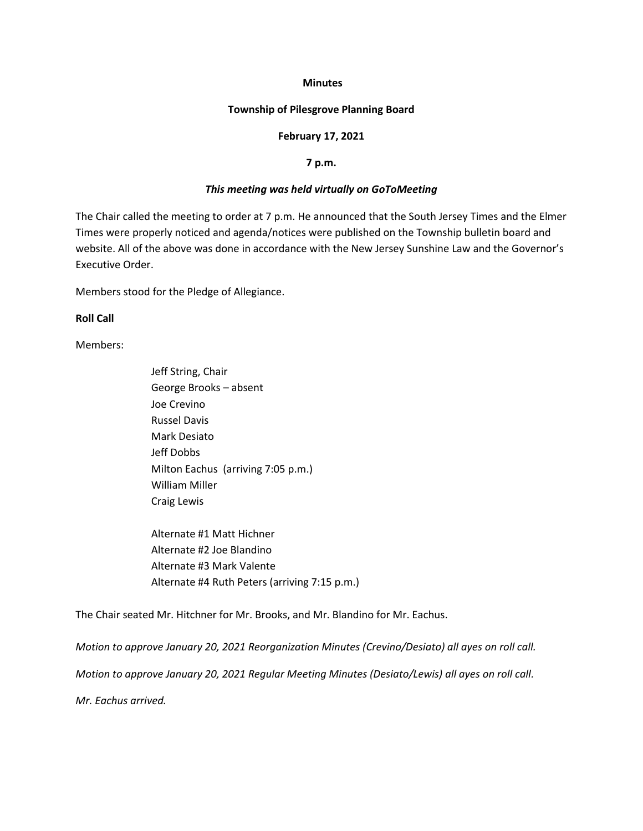#### **Minutes**

### **Township of Pilesgrove Planning Board**

#### **February 17, 2021**

#### **7 p.m.**

### *This meeting was held virtually on GoToMeeting*

The Chair called the meeting to order at 7 p.m. He announced that the South Jersey Times and the Elmer Times were properly noticed and agenda/notices were published on the Township bulletin board and website. All of the above was done in accordance with the New Jersey Sunshine Law and the Governor's Executive Order.

Members stood for the Pledge of Allegiance.

### **Roll Call**

Members:

Jeff String, Chair George Brooks – absent Joe Crevino Russel Davis Mark Desiato Jeff Dobbs Milton Eachus (arriving 7:05 p.m.) William Miller Craig Lewis

Alternate #1 Matt Hichner Alternate #2 Joe Blandino Alternate #3 Mark Valente Alternate #4 Ruth Peters (arriving 7:15 p.m.)

The Chair seated Mr. Hitchner for Mr. Brooks, and Mr. Blandino for Mr. Eachus.

*Motion to approve January 20, 2021 Reorganization Minutes (Crevino/Desiato) all ayes on roll call. Motion to approve January 20, 2021 Regular Meeting Minutes (Desiato/Lewis) all ayes on roll call. Mr. Eachus arrived.*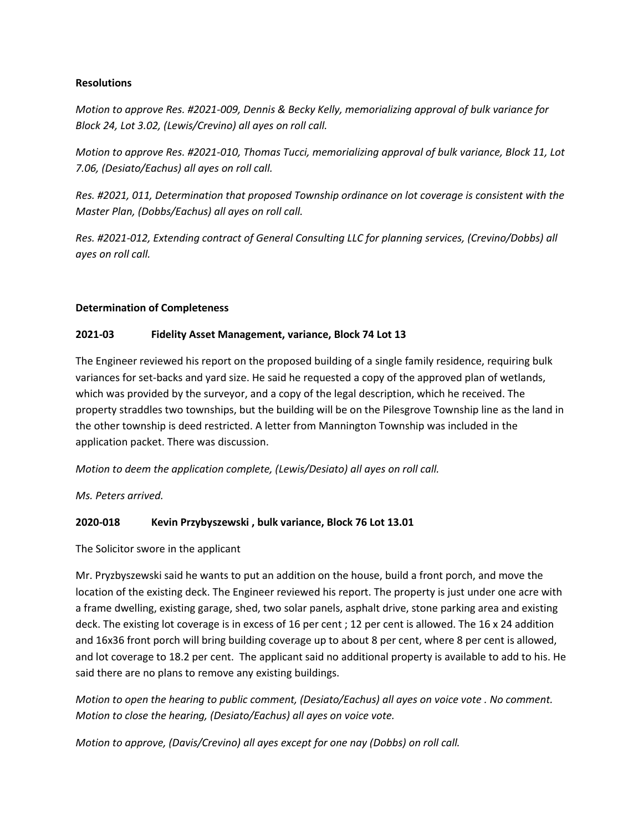## **Resolutions**

*Motion to approve Res. #2021-009, Dennis & Becky Kelly, memorializing approval of bulk variance for Block 24, Lot 3.02, (Lewis/Crevino) all ayes on roll call.*

*Motion to approve Res. #2021-010, Thomas Tucci, memorializing approval of bulk variance, Block 11, Lot 7.06, (Desiato/Eachus) all ayes on roll call.*

*Res. #2021, 011, Determination that proposed Township ordinance on lot coverage is consistent with the Master Plan, (Dobbs/Eachus) all ayes on roll call.*

*Res. #2021-012, Extending contract of General Consulting LLC for planning services, (Crevino/Dobbs) all ayes on roll call.*

# **Determination of Completeness**

# **2021-03 Fidelity Asset Management, variance, Block 74 Lot 13**

The Engineer reviewed his report on the proposed building of a single family residence, requiring bulk variances for set-backs and yard size. He said he requested a copy of the approved plan of wetlands, which was provided by the surveyor, and a copy of the legal description, which he received. The property straddles two townships, but the building will be on the Pilesgrove Township line as the land in the other township is deed restricted. A letter from Mannington Township was included in the application packet. There was discussion.

*Motion to deem the application complete, (Lewis/Desiato) all ayes on roll call.*

*Ms. Peters arrived.*

## **2020-018 Kevin Przybyszewski , bulk variance, Block 76 Lot 13.01**

The Solicitor swore in the applicant

Mr. Pryzbyszewski said he wants to put an addition on the house, build a front porch, and move the location of the existing deck. The Engineer reviewed his report. The property is just under one acre with a frame dwelling, existing garage, shed, two solar panels, asphalt drive, stone parking area and existing deck. The existing lot coverage is in excess of 16 per cent ; 12 per cent is allowed. The 16 x 24 addition and 16x36 front porch will bring building coverage up to about 8 per cent, where 8 per cent is allowed, and lot coverage to 18.2 per cent. The applicant said no additional property is available to add to his. He said there are no plans to remove any existing buildings.

*Motion to open the hearing to public comment, (Desiato/Eachus) all ayes on voice vote . No comment. Motion to close the hearing, (Desiato/Eachus) all ayes on voice vote.* 

*Motion to approve, (Davis/Crevino) all ayes except for one nay (Dobbs) on roll call.*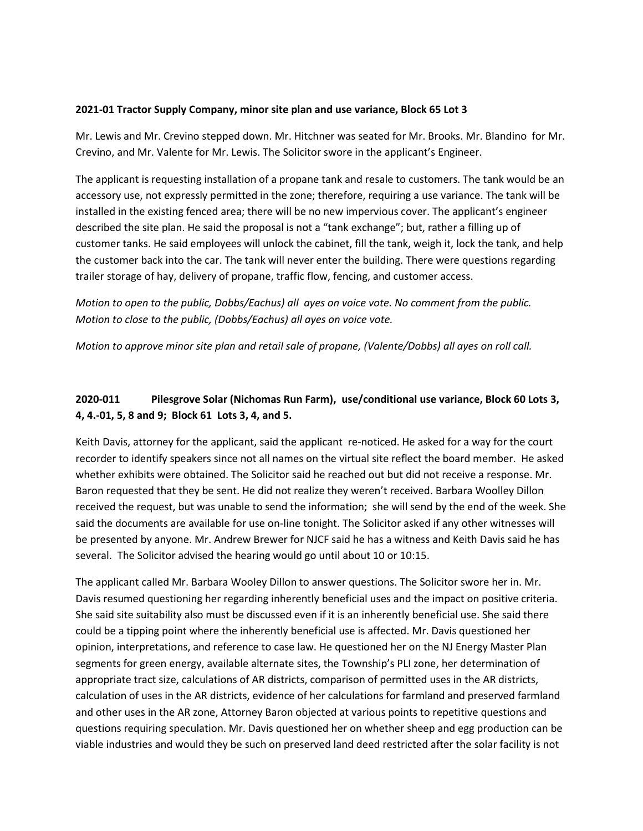## **2021-01 Tractor Supply Company, minor site plan and use variance, Block 65 Lot 3**

Mr. Lewis and Mr. Crevino stepped down. Mr. Hitchner was seated for Mr. Brooks. Mr. Blandino for Mr. Crevino, and Mr. Valente for Mr. Lewis. The Solicitor swore in the applicant's Engineer.

The applicant is requesting installation of a propane tank and resale to customers. The tank would be an accessory use, not expressly permitted in the zone; therefore, requiring a use variance. The tank will be installed in the existing fenced area; there will be no new impervious cover. The applicant's engineer described the site plan. He said the proposal is not a "tank exchange"; but, rather a filling up of customer tanks. He said employees will unlock the cabinet, fill the tank, weigh it, lock the tank, and help the customer back into the car. The tank will never enter the building. There were questions regarding trailer storage of hay, delivery of propane, traffic flow, fencing, and customer access.

*Motion to open to the public, Dobbs/Eachus) all ayes on voice vote. No comment from the public. Motion to close to the public, (Dobbs/Eachus) all ayes on voice vote.*

*Motion to approve minor site plan and retail sale of propane, (Valente/Dobbs) all ayes on roll call.*

# **2020-011 Pilesgrove Solar (Nichomas Run Farm), use/conditional use variance, Block 60 Lots 3, 4, 4.-01, 5, 8 and 9; Block 61 Lots 3, 4, and 5.**

Keith Davis, attorney for the applicant, said the applicant re-noticed. He asked for a way for the court recorder to identify speakers since not all names on the virtual site reflect the board member. He asked whether exhibits were obtained. The Solicitor said he reached out but did not receive a response. Mr. Baron requested that they be sent. He did not realize they weren't received. Barbara Woolley Dillon received the request, but was unable to send the information; she will send by the end of the week. She said the documents are available for use on-line tonight. The Solicitor asked if any other witnesses will be presented by anyone. Mr. Andrew Brewer for NJCF said he has a witness and Keith Davis said he has several. The Solicitor advised the hearing would go until about 10 or 10:15.

The applicant called Mr. Barbara Wooley Dillon to answer questions. The Solicitor swore her in. Mr. Davis resumed questioning her regarding inherently beneficial uses and the impact on positive criteria. She said site suitability also must be discussed even if it is an inherently beneficial use. She said there could be a tipping point where the inherently beneficial use is affected. Mr. Davis questioned her opinion, interpretations, and reference to case law. He questioned her on the NJ Energy Master Plan segments for green energy, available alternate sites, the Township's PLI zone, her determination of appropriate tract size, calculations of AR districts, comparison of permitted uses in the AR districts, calculation of uses in the AR districts, evidence of her calculations for farmland and preserved farmland and other uses in the AR zone, Attorney Baron objected at various points to repetitive questions and questions requiring speculation. Mr. Davis questioned her on whether sheep and egg production can be viable industries and would they be such on preserved land deed restricted after the solar facility is not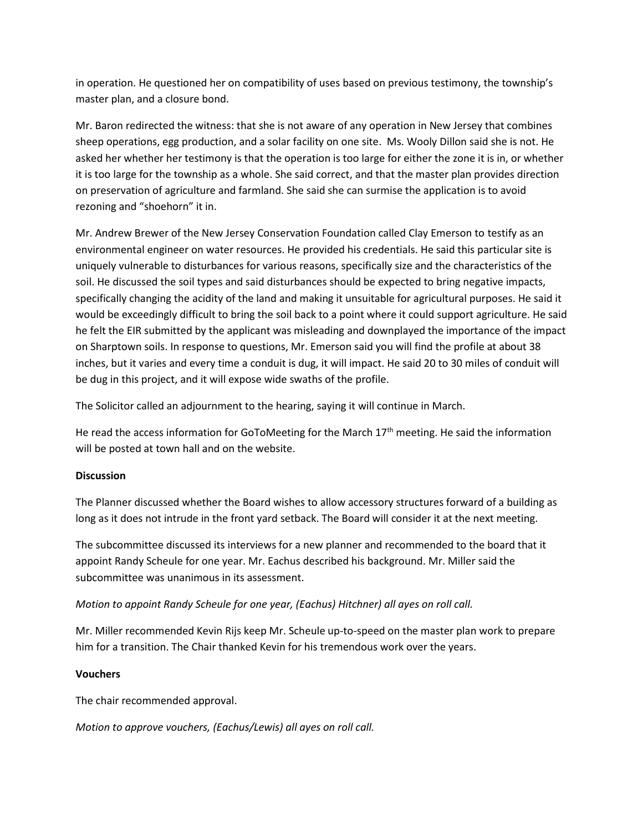in operation. He questioned her on compatibility of uses based on previous testimony, the township's master plan, and a closure bond.

Mr. Baron redirected the witness: that she is not aware of any operation in New Jersey that combines sheep operations, egg production, and a solar facility on one site. Ms. Wooly Dillon said she is not. He asked her whether her testimony is that the operation is too large for either the zone it is in, or whether it is too large for the township as a whole. She said correct, and that the master plan provides direction on preservation of agriculture and farmland. She said she can surmise the application is to avoid rezoning and "shoehorn" it in.

Mr. Andrew Brewer of the New Jersey Conservation Foundation called Clay Emerson to testify as an environmental engineer on water resources. He provided his credentials. He said this particular site is uniquely vulnerable to disturbances for various reasons, specifically size and the characteristics of the soil. He discussed the soil types and said disturbances should be expected to bring negative impacts, specifically changing the acidity of the land and making it unsuitable for agricultural purposes. He said it would be exceedingly difficult to bring the soil back to a point where it could support agriculture. He said he felt the EIR submitted by the applicant was misleading and downplayed the importance of the impact on Sharptown soils. In response to questions, Mr. Emerson said you will find the profile at about 38 inches, but it varies and every time a conduit is dug, it will impact. He said 20 to 30 miles of conduit will be dug in this project, and it will expose wide swaths of the profile.

The Solicitor called an adjournment to the hearing, saying it will continue in March.

He read the access information for GoToMeeting for the March 17<sup>th</sup> meeting. He said the information will be posted at town hall and on the website.

## **Discussion**

The Planner discussed whether the Board wishes to allow accessory structures forward of a building as long as it does not intrude in the front yard setback. The Board will consider it at the next meeting.

The subcommittee discussed its interviews for a new planner and recommended to the board that it appoint Randy Scheule for one year. Mr. Eachus described his background. Mr. Miller said the subcommittee was unanimous in its assessment.

## *Motion to appoint Randy Scheule for one year, (Eachus) Hitchner) all ayes on roll call.*

Mr. Miller recommended Kevin Rijs keep Mr. Scheule up-to-speed on the master plan work to prepare him for a transition. The Chair thanked Kevin for his tremendous work over the years.

## **Vouchers**

The chair recommended approval.

*Motion to approve vouchers, (Eachus/Lewis) all ayes on roll call.*